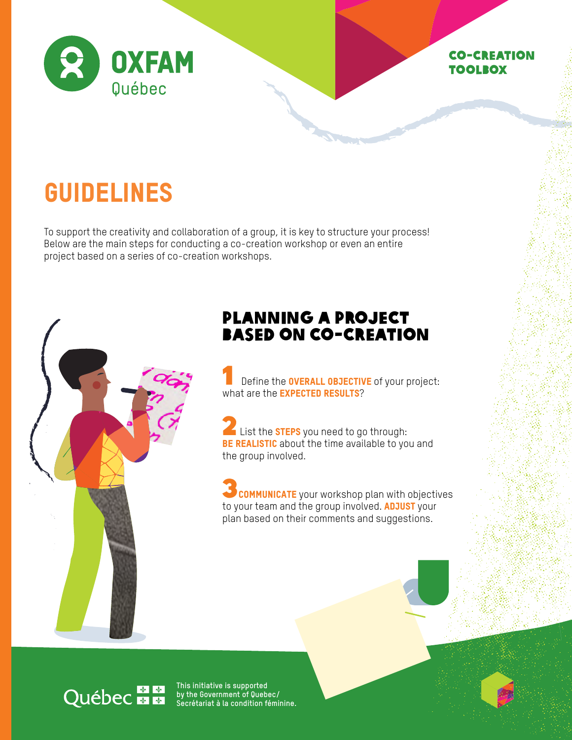

## Co-creation toolbox

# GUIDELINES

To support the creativity and collaboration of a group, it is key to structure your process! Below are the main steps for conducting a co-creation workshop or even an entire project based on a series of co-creation workshops.



## PLANNING A PROJECT BASED ON CO-CREATION

Define the **OVERALL OBJECTIVE** of your project: what are the **EXPECTED RESULTS**?

**2** List the **STEPS** you need to go through: **BE REALISTIC** about the time available to you and the group involved.

 $\overline{\theta}$  communicate your workshop plan with objectives to your team and the group involved. **ADJUST** your plan based on their comments and suggestions.

# Québec **ME**

**This initiative is supported by the Government of Quebec/ Secrétariat à la condition féminine.**